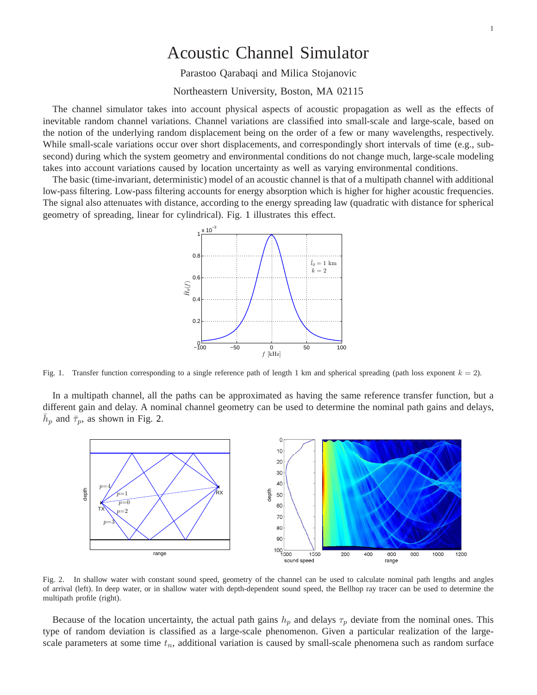## Acoustic Channel Simulator

Parastoo Qarabaqi and Milica Stojanovic

Northeastern University, Boston, MA 02115

The channel simulator takes into account physical aspects of acoustic propagation as well as the effects of inevitable random channel variations. Channel variations are classified into small-scale and large-scale, based on the notion of the underlying random displacement being on the order of a few or many wavelengths, respectively. While small-scale variations occur over short displacements, and correspondingly short intervals of time (e.g., subsecond) during which the system geometry and environmental conditions do not change much, large-scale modeling takes into account variations caused by location uncertainty as well as varying environmental conditions.

The basic (time-invariant, deterministic) model of an acoustic channel is that of a multipath channel with additional low-pass filtering. Low-pass filtering accounts for energy absorption which is higher for higher acoustic frequencies. The signal also attenuates with distance, according to the energy spreading law (quadratic with distance for spherical geometry of spreading, linear for cylindrical). Fig. [1](#page-0-0) illustrates this effect.



<span id="page-0-0"></span>Fig. 1. Transfer function corresponding to a single reference path of length 1 km and spherical spreading (path loss exponent  $k = 2$ ).

In a multipath channel, all the paths can be approximated as having the same reference transfer function, but a different gain and delay. A nominal channel geometry can be used to determine the nominal path gains and delays,  $\bar{h}_p$  and  $\bar{\tau}_p$ , as shown in Fig. [2.](#page-0-1)



<span id="page-0-1"></span>Fig. 2. In shallow water with constant sound speed, geometry of the channel can be used to calculate nominal path lengths and angles of arrival (left). In deep water, or in shallow water with depth-dependent sound speed, the Bellhop ray tracer can be used to determine the multipath profile (right).

Because of the location uncertainty, the actual path gains  $h_p$  and delays  $\tau_p$  deviate from the nominal ones. This type of random deviation is classified as a large-scale phenomenon. Given a particular realization of the largescale parameters at some time  $t_n$ , additional variation is caused by small-scale phenomena such as random surface